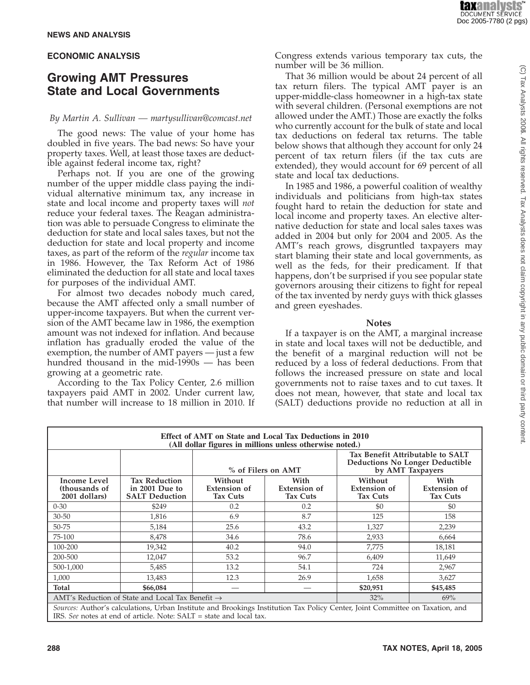#### **ECONOMIC ANALYSIS**

## **Growing AMT Pressures State and Local Governments**

#### *By Martin A. Sullivan — martysullivan@comcast.net*

The good news: The value of your home has doubled in five years. The bad news: So have your property taxes. Well, at least those taxes are deductible against federal income tax, right?

Perhaps not. If you are one of the growing number of the upper middle class paying the individual alternative minimum tax, any increase in state and local income and property taxes will *not* reduce your federal taxes. The Reagan administration was able to persuade Congress to eliminate the deduction for state and local sales taxes, but not the deduction for state and local property and income taxes, as part of the reform of the *regular* income tax in 1986. However, the Tax Reform Act of 1986 eliminated the deduction for all state and local taxes for purposes of the individual AMT.

For almost two decades nobody much cared, because the AMT affected only a small number of upper-income taxpayers. But when the current version of the AMT became law in 1986, the exemption amount was not indexed for inflation. And because inflation has gradually eroded the value of the exemption, the number of AMT payers — just a few hundred thousand in the mid-1990s — has been growing at a geometric rate.

According to the Tax Policy Center, 2.6 million taxpayers paid AMT in 2002. Under current law, that number will increase to 18 million in 2010. If Congress extends various temporary tax cuts, the number will be 36 million.

That 36 million would be about 24 percent of all tax return filers. The typical AMT payer is an upper-middle-class homeowner in a high-tax state with several children. (Personal exemptions are not allowed under the AMT.) Those are exactly the folks who currently account for the bulk of state and local tax deductions on federal tax returns. The table below shows that although they account for only 24 percent of tax return filers (if the tax cuts are extended), they would account for 69 percent of all state and local tax deductions.

In 1985 and 1986, a powerful coalition of wealthy individuals and politicians from high-tax states fought hard to retain the deduction for state and local income and property taxes. An elective alternative deduction for state and local sales taxes was added in 2004 but only for 2004 and 2005. As the AMT's reach grows, disgruntled taxpayers may start blaming their state and local governments, as well as the feds, for their predicament. If that happens, don't be surprised if you see popular state governors arousing their citizens to fight for repeal of the tax invented by nerdy guys with thick glasses and green eyeshades.

#### **Notes**

If a taxpayer is on the AMT, a marginal increase in state and local taxes will not be deductible, and the benefit of a marginal reduction will not be reduced by a loss of federal deductions. From that follows the increased pressure on state and local governments not to raise taxes and to cut taxes. It does not mean, however, that state and local tax (SALT) deductions provide no reduction at all in

| Effect of AMT on State and Local Tax Deductions in 2010<br>(All dollar figures in millions unless otherwise noted.)           |                                                                 |                                                   |                                                |                                                                                                |                                                |
|-------------------------------------------------------------------------------------------------------------------------------|-----------------------------------------------------------------|---------------------------------------------------|------------------------------------------------|------------------------------------------------------------------------------------------------|------------------------------------------------|
|                                                                                                                               |                                                                 | % of Filers on AMT                                |                                                | Tax Benefit Attributable to SALT<br><b>Deductions No Longer Deductible</b><br>by AMT Taxpayers |                                                |
| <b>Income Level</b><br>(thousands of<br>2001 dollars)                                                                         | <b>Tax Reduction</b><br>in 2001 Due to<br><b>SALT Deduction</b> | Without<br><b>Extension of</b><br><b>Tax Cuts</b> | With<br><b>Extension of</b><br><b>Tax Cuts</b> | Without<br><b>Extension of</b><br><b>Tax Cuts</b>                                              | With<br><b>Extension of</b><br><b>Tax Cuts</b> |
| $0 - 30$                                                                                                                      | \$249                                                           | 0.2                                               | 0.2                                            | \$0                                                                                            | \$0                                            |
| $30 - 50$                                                                                                                     | 1,816                                                           | 6.9                                               | 8.7                                            | 125                                                                                            | 158                                            |
| 50-75                                                                                                                         | 5,184                                                           | 25.6                                              | 43.2                                           | 1,327                                                                                          | 2,239                                          |
| 75-100                                                                                                                        | 8,478                                                           | 34.6                                              | 78.6                                           | 2,933                                                                                          | 6,664                                          |
| 100-200                                                                                                                       | 19,342                                                          | 40.2                                              | 94.0                                           | 7,775                                                                                          | 18,181                                         |
| 200-500                                                                                                                       | 12,047                                                          | 53.2                                              | 96.7                                           | 6,409                                                                                          | 11,649                                         |
| 500-1,000                                                                                                                     | 5,485                                                           | 13.2                                              | 54.1                                           | 724                                                                                            | 2,967                                          |
| 1,000                                                                                                                         | 13,483                                                          | 12.3                                              | 26.9                                           | 1,658                                                                                          | 3,627                                          |
| Total                                                                                                                         | \$66,084                                                        |                                                   |                                                | \$20,951                                                                                       | \$45,485                                       |
| AMT's Reduction of State and Local Tax Benefit $\rightarrow$                                                                  |                                                                 |                                                   |                                                | 32%                                                                                            | 69%                                            |
| Sources: Author's calculations. Urban Institute and Brookings Institution Tax Policy Center. Joint Committee on Taxation, and |                                                                 |                                                   |                                                |                                                                                                |                                                |

*Sources:* Author's calculations, Urban Institute and Brookings Institution Tax Policy Center, Joint Committee on Taxation, and IRS. *See* notes at end of article. Note: SALT = state and local tax.